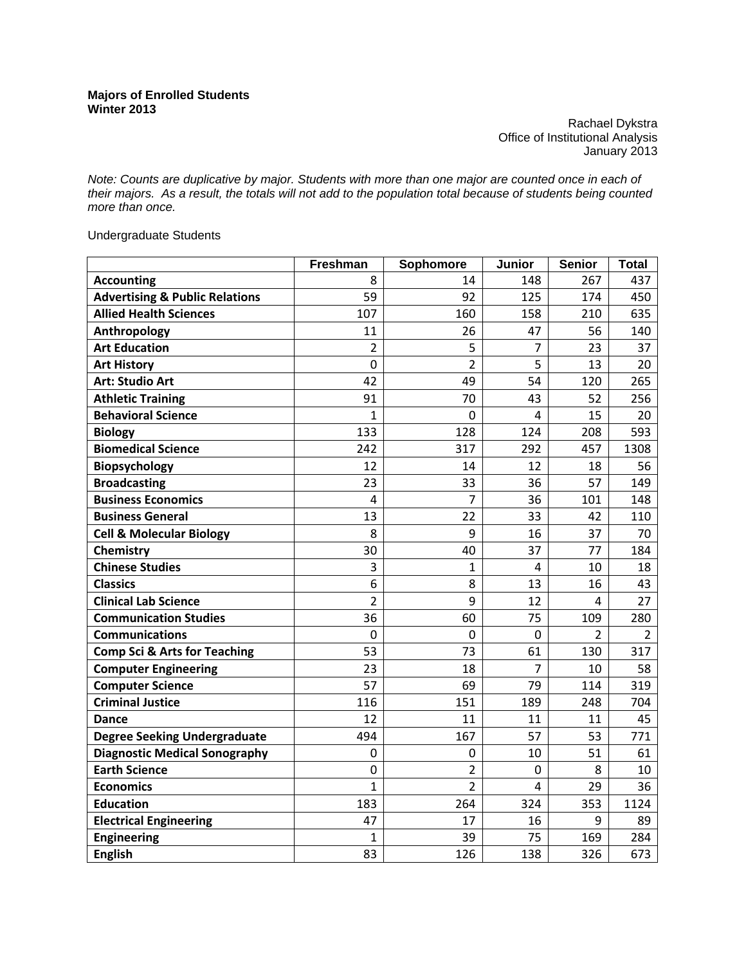Rachael Dykstra Office of Institutional Analysis January 2013

*Note: Counts are duplicative by major. Students with more than one major are counted once in each of their majors. As a result, the totals will not add to the population total because of students being counted more than once.* 

Undergraduate Students

|                                           | Freshman         | Sophomore      | Junior         | <b>Senior</b>  | <b>Total</b>   |
|-------------------------------------------|------------------|----------------|----------------|----------------|----------------|
| <b>Accounting</b>                         | 8                | 14             | 148            | 267            | 437            |
| <b>Advertising &amp; Public Relations</b> | 59               | 92             | 125            | 174            | 450            |
| <b>Allied Health Sciences</b>             | 107              | 160            | 158            | 210            | 635            |
| Anthropology                              | 11               | 26             | 47             | 56             | 140            |
| <b>Art Education</b>                      | $\overline{2}$   | 5              | $\overline{7}$ | 23             | 37             |
| <b>Art History</b>                        | $\overline{0}$   | $\overline{2}$ | 5              | 13             | 20             |
| <b>Art: Studio Art</b>                    | 42               | 49             | 54             | 120            | 265            |
| <b>Athletic Training</b>                  | 91               | 70             | 43             | 52             | 256            |
| <b>Behavioral Science</b>                 | $\mathbf{1}$     | 0              | 4              | 15             | 20             |
| <b>Biology</b>                            | 133              | 128            | 124            | 208            | 593            |
| <b>Biomedical Science</b>                 | 242              | 317            | 292            | 457            | 1308           |
| <b>Biopsychology</b>                      | 12               | 14             | 12             | 18             | 56             |
| <b>Broadcasting</b>                       | 23               | 33             | 36             | 57             | 149            |
| <b>Business Economics</b>                 | 4                | 7              | 36             | 101            | 148            |
| <b>Business General</b>                   | 13               | 22             | 33             | 42             | 110            |
| <b>Cell &amp; Molecular Biology</b>       | 8                | 9              | 16             | 37             | 70             |
| Chemistry                                 | 30               | 40             | 37             | 77             | 184            |
| <b>Chinese Studies</b>                    | 3                | 1              | 4              | 10             | 18             |
| <b>Classics</b>                           | 6                | 8              | 13             | 16             | 43             |
| <b>Clinical Lab Science</b>               | $\overline{2}$   | 9              | 12             | $\overline{4}$ | 27             |
| <b>Communication Studies</b>              | 36               | 60             | 75             | 109            | 280            |
| <b>Communications</b>                     | $\overline{0}$   | 0              | 0              | $\overline{2}$ | $\overline{2}$ |
| <b>Comp Sci &amp; Arts for Teaching</b>   | 53               | 73             | 61             | 130            | 317            |
| <b>Computer Engineering</b>               | 23               | 18             | $\overline{7}$ | 10             | 58             |
| <b>Computer Science</b>                   | 57               | 69             | 79             | 114            | 319            |
| <b>Criminal Justice</b>                   | 116              | 151            | 189            | 248            | 704            |
| <b>Dance</b>                              | 12               | 11             | 11             | 11             | 45             |
| <b>Degree Seeking Undergraduate</b>       | 494              | 167            | 57             | 53             | 771            |
| <b>Diagnostic Medical Sonography</b>      | 0                | 0              | 10             | 51             | 61             |
| <b>Earth Science</b>                      | $\boldsymbol{0}$ | $\overline{2}$ | $\overline{0}$ | 8              | 10             |
| <b>Economics</b>                          | $\mathbf{1}$     | $\overline{2}$ | 4              | 29             | 36             |
| <b>Education</b>                          | 183              | 264            | 324            | 353            | 1124           |
| <b>Electrical Engineering</b>             | 47               | 17             | 16             | 9              | 89             |
| <b>Engineering</b>                        | 1                | 39             | 75             | 169            | 284            |
| <b>English</b>                            | 83               | 126            | 138            | 326            | 673            |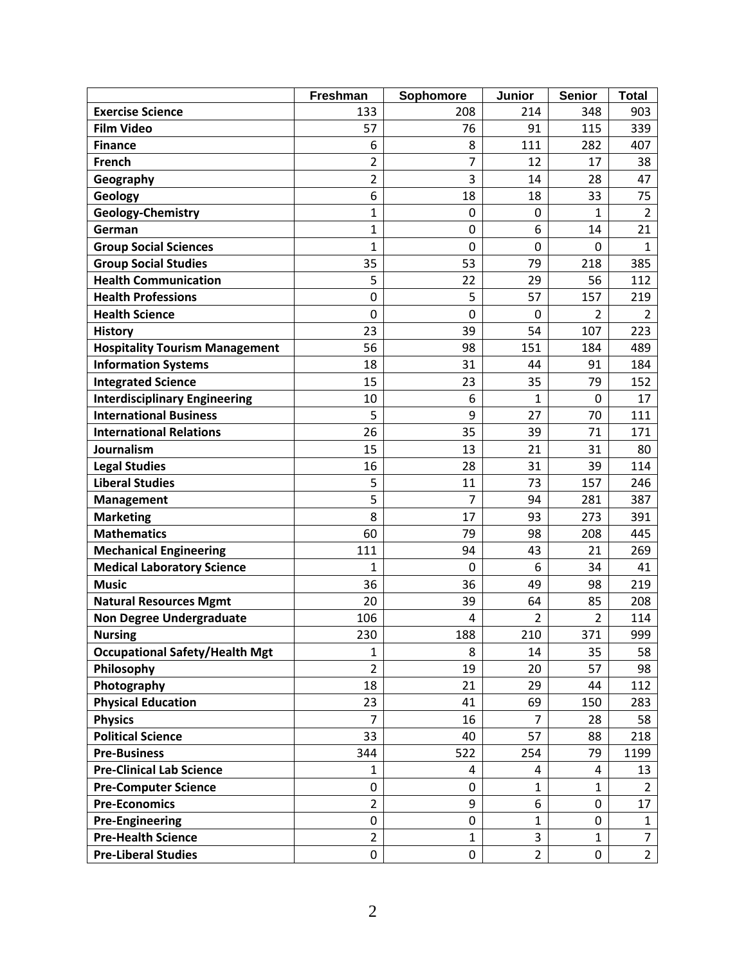|                                       | Freshman                | Sophomore      | Junior         | <b>Senior</b>  | <b>Total</b>   |
|---------------------------------------|-------------------------|----------------|----------------|----------------|----------------|
| <b>Exercise Science</b>               | 133                     | 208            | 214            | 348            | 903            |
| <b>Film Video</b>                     | 57                      | 76             | 91             | 115            | 339            |
| <b>Finance</b>                        | 6                       | 8              | 111            | 282            | 407            |
| French                                | $\overline{\mathbf{c}}$ | 7              | 12             | 17             | 38             |
| Geography                             | 2                       | 3              | 14             | 28             | 47             |
| Geology                               | 6                       | 18             | 18             | 33             | 75             |
| Geology-Chemistry                     | 1                       | $\mathbf 0$    | 0              | 1              | $\overline{2}$ |
| German                                | 1                       | $\mathbf 0$    | 6              | 14             | 21             |
| <b>Group Social Sciences</b>          | $\mathbf{1}$            | $\overline{0}$ | 0              | $\mathbf 0$    | $\mathbf{1}$   |
| <b>Group Social Studies</b>           | 35                      | 53             | 79             | 218            | 385            |
| <b>Health Communication</b>           | 5                       | 22             | 29             | 56             | 112            |
| <b>Health Professions</b>             | 0                       | 5              | 57             | 157            | 219            |
| <b>Health Science</b>                 | 0                       | $\mathbf 0$    | $\Omega$       | 2              | $\overline{2}$ |
| <b>History</b>                        | 23                      | 39             | 54             | 107            | 223            |
| <b>Hospitality Tourism Management</b> | 56                      | 98             | 151            | 184            | 489            |
| <b>Information Systems</b>            | 18                      | 31             | 44             | 91             | 184            |
| <b>Integrated Science</b>             | 15                      | 23             | 35             | 79             | 152            |
| <b>Interdisciplinary Engineering</b>  | 10                      | 6              | 1              | $\mathbf 0$    | 17             |
| <b>International Business</b>         | 5                       | 9              | 27             | 70             | 111            |
| <b>International Relations</b>        | 26                      | 35             | 39             | 71             | 171            |
| Journalism                            | 15                      | 13             | 21             | 31             | 80             |
| <b>Legal Studies</b>                  | 16                      | 28             | 31             | 39             | 114            |
| <b>Liberal Studies</b>                | 5                       | 11             | 73             | 157            | 246            |
| <b>Management</b>                     | 5                       | 7              | 94             | 281            | 387            |
| <b>Marketing</b>                      | 8                       | 17             | 93             | 273            | 391            |
| <b>Mathematics</b>                    | 60                      | 79             | 98             | 208            | 445            |
| <b>Mechanical Engineering</b>         | 111                     | 94             | 43             | 21             | 269            |
| <b>Medical Laboratory Science</b>     | 1                       | $\mathbf 0$    | 6              | 34             | 41             |
| <b>Music</b>                          | 36                      | 36             | 49             | 98             | 219            |
| <b>Natural Resources Mgmt</b>         | 20                      | 39             | 64             | 85             | 208            |
| <b>Non Degree Undergraduate</b>       | 106                     | 4              | $\overline{2}$ | $\overline{2}$ | 114            |
| <b>Nursing</b>                        | 230                     | 188            | 210            | 371            | 999            |
| <b>Occupational Safety/Health Mgt</b> | 1                       | 8              | 14             | 35             | 58             |
| Philosophy                            | $\overline{2}$          | 19             | 20             | 57             | 98             |
| Photography                           | 18                      | 21             | 29             | 44             | 112            |
| <b>Physical Education</b>             | 23                      | 41             | 69             | 150            | 283            |
| <b>Physics</b>                        | 7                       | 16             | $\overline{7}$ | 28             | 58             |
| <b>Political Science</b>              | 33                      | 40             | 57             | 88             | 218            |
| <b>Pre-Business</b>                   | 344                     | 522            | 254            | 79             | 1199           |
| <b>Pre-Clinical Lab Science</b>       | 1                       | 4              | 4              | 4              | 13             |
| <b>Pre-Computer Science</b>           | 0                       | 0              | $\mathbf{1}$   | 1              | $\overline{2}$ |
| <b>Pre-Economics</b>                  | $\overline{2}$          | 9              | 6              | $\pmb{0}$      | 17             |
| <b>Pre-Engineering</b>                | 0                       | 0              | 1              | 0              | $\mathbf{1}$   |
| <b>Pre-Health Science</b>             | $\overline{2}$          | 1              | 3              | 1              | $\overline{7}$ |
| <b>Pre-Liberal Studies</b>            | 0                       | 0              | $\overline{2}$ | 0              | $\overline{2}$ |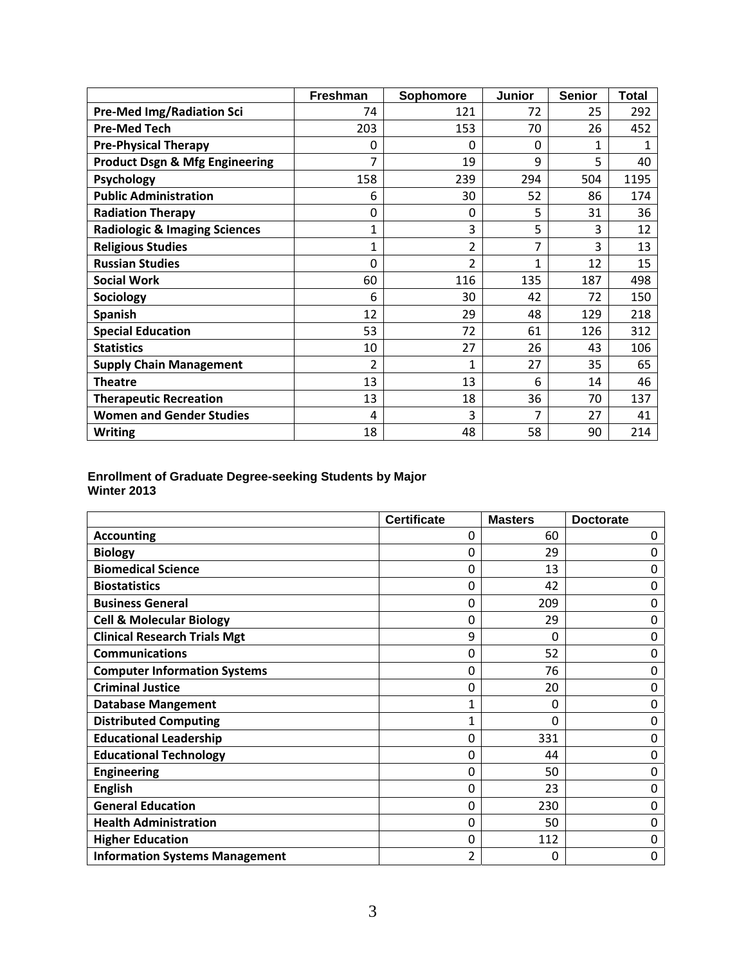|                                           | Freshman     | Sophomore      | <b>Junior</b> | <b>Senior</b> | <b>Total</b> |
|-------------------------------------------|--------------|----------------|---------------|---------------|--------------|
| <b>Pre-Med Img/Radiation Sci</b>          | 74           | 121            | 72            | 25            | 292          |
| <b>Pre-Med Tech</b>                       | 203          | 153            | 70            | 26            | 452          |
| <b>Pre-Physical Therapy</b>               | 0            | 0              | $\Omega$      | 1             | 1            |
| <b>Product Dsgn &amp; Mfg Engineering</b> | 7            | 19             | 9             | 5             | 40           |
| Psychology                                | 158          | 239            | 294           | 504           | 1195         |
| <b>Public Administration</b>              | 6            | 30             | 52            | 86            | 174          |
| <b>Radiation Therapy</b>                  | 0            | 0              | 5             | 31            | 36           |
| <b>Radiologic &amp; Imaging Sciences</b>  | $\mathbf{1}$ | 3              | 5             | 3             | 12           |
| <b>Religious Studies</b>                  | $\mathbf{1}$ | 2              | 7             | 3             | 13           |
| <b>Russian Studies</b>                    | 0            | $\overline{2}$ | 1             | 12            | 15           |
| <b>Social Work</b>                        | 60           | 116            | 135           | 187           | 498          |
| Sociology                                 | 6            | 30             | 42            | 72            | 150          |
| <b>Spanish</b>                            | 12           | 29             | 48            | 129           | 218          |
| <b>Special Education</b>                  | 53           | 72             | 61            | 126           | 312          |
| <b>Statistics</b>                         | 10           | 27             | 26            | 43            | 106          |
| <b>Supply Chain Management</b>            | 2            | 1              | 27            | 35            | 65           |
| <b>Theatre</b>                            | 13           | 13             | 6             | 14            | 46           |
| <b>Therapeutic Recreation</b>             | 13           | 18             | 36            | 70            | 137          |
| <b>Women and Gender Studies</b>           | 4            | 3              |               | 27            | 41           |
| <b>Writing</b>                            | 18           | 48             | 58            | 90            | 214          |

## **Enrollment of Graduate Degree-seeking Students by Major Winter 2013**

|                                       | <b>Certificate</b> | <b>Masters</b> | <b>Doctorate</b> |
|---------------------------------------|--------------------|----------------|------------------|
| <b>Accounting</b>                     | 0                  | 60             | $\Omega$         |
| <b>Biology</b>                        | 0                  | 29             | 0                |
| <b>Biomedical Science</b>             | 0                  | 13             | 0                |
| <b>Biostatistics</b>                  | 0                  | 42             | $\Omega$         |
| <b>Business General</b>               | 0                  | 209            | 0                |
| <b>Cell &amp; Molecular Biology</b>   | 0                  | 29             | 0                |
| <b>Clinical Research Trials Mgt</b>   | 9                  | 0              | 0                |
| <b>Communications</b>                 | 0                  | 52             | 0                |
| <b>Computer Information Systems</b>   | 0                  | 76             | 0                |
| <b>Criminal Justice</b>               | 0                  | 20             | 0                |
| <b>Database Mangement</b>             | 1                  | 0              | 0                |
| <b>Distributed Computing</b>          | 1                  | 0              | 0                |
| <b>Educational Leadership</b>         | 0                  | 331            | 0                |
| <b>Educational Technology</b>         | 0                  | 44             | 0                |
| <b>Engineering</b>                    | 0                  | 50             | 0                |
| <b>English</b>                        | 0                  | 23             | 0                |
| <b>General Education</b>              | 0                  | 230            | 0                |
| <b>Health Administration</b>          | 0                  | 50             | 0                |
| <b>Higher Education</b>               | 0                  | 112            | 0                |
| <b>Information Systems Management</b> | 2                  | 0              | 0                |